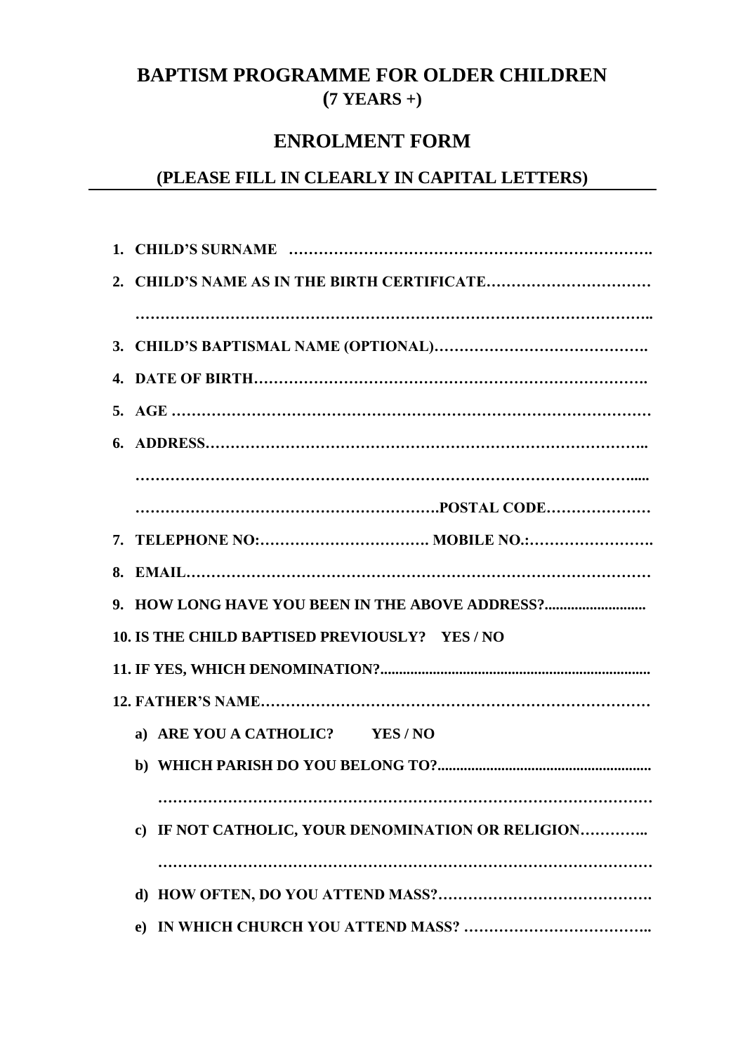## **BAPTISM PROGRAMME FOR OLDER CHILDREN (7 YEARS +)**

## **ENROLMENT FORM**

## **(PLEASE FILL IN CLEARLY IN CAPITAL LETTERS)**

| 9. HOW LONG HAVE YOU BEEN IN THE ABOVE ADDRESS?   |
|---------------------------------------------------|
| 10. IS THE CHILD BAPTISED PREVIOUSLY? YES / NO    |
|                                                   |
|                                                   |
| a) ARE YOU A CATHOLIC? YES / NO                   |
|                                                   |
|                                                   |
| c) IF NOT CATHOLIC, YOUR DENOMINATION OR RELIGION |
|                                                   |
|                                                   |
| $\bf e)$                                          |